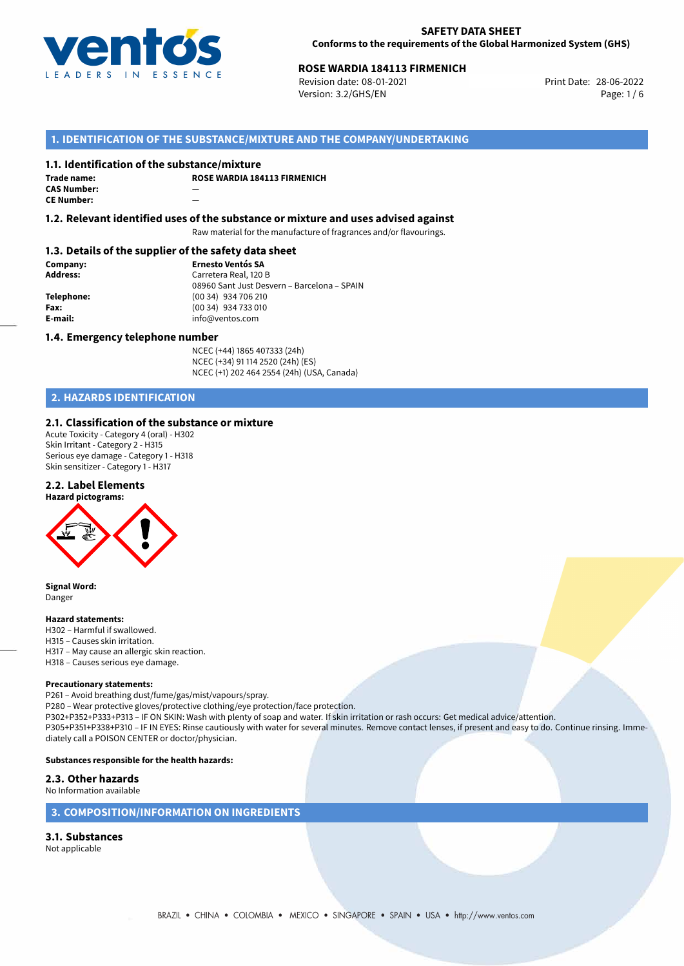

## **ROSE WARDIA 184113 FIRMENICH**<br>
Revision date: 08-01-2021<br> **Print Date: 28-06-2022**

Revision date: 08-01-2021 Version: 3.2/GHS/EN Page: 1/6

## **1. IDENTIFICATION OF THE SUBSTANCE/MIXTURE AND THE COMPANY/UNDERTAKING**

#### **1.1. Identification of the substance/mixture**

**Trade name: CAS Number:** — **CE Number:** —

**ROSE WARDIA 184113 FIRMENICH**

**1.2. Relevant identified uses of the substance or mixture and uses advised against**

Raw material for the manufacture of fragrances and/or flavourings.

#### **1.3. Details of the supplier of the safety data sheet**

**Company: Ernesto Ventós SA Address:** Carretera Real, 120 B 08960 Sant Just Desvern – Barcelona – SPAIN **Telephone:** (00 34) 934 706 210 **Fax:** (00 34) 934 733 010<br> **E-mail:** example the info@ventos.com **E-mail:** info@ventos.com

#### **1.4. Emergency telephone number**

NCEC (+44) 1865 407333 (24h) NCEC (+34) 91 114 2520 (24h) (ES) NCEC (+1) 202 464 2554 (24h) (USA, Canada)

## **2. HAZARDS IDENTIFICATION**

## **2.1. Classification of the substance or mixture**

Acute Toxicity - Category 4 (oral) - H302 Skin Irritant - Category 2 - H315 Serious eye damage - Category 1 - H318 Skin sensitizer - Category 1 - H317

#### **2.2. Label Elements**



**Signal Word:** Danger

#### **Hazard statements:**

H302 – Harmful if swallowed. H315 – Causes skin irritation. H317 – May cause an allergic skin reaction. H318 – Causes serious eye damage.

#### **Precautionary statements:**

P261 – Avoid breathing dust/fume/gas/mist/vapours/spray.

P280 – Wear protective gloves/protective clothing/eye protection/face protection.

P302+P352+P333+P313 – IF ON SKIN: Wash with plenty of soap and water. If skin irritation or rash occurs: Get medical advice/attention. P305+P351+P338+P310 – IF IN EYES: Rinse cautiously with water for several minutes. Remove contact lenses, if present and easy to do. Continue rinsing. Immediately call a POISON CENTER or doctor/physician.

#### **Substances responsible for the health hazards:**

## **2.3. Other hazards**

No Information available

### **3. COMPOSITION/INFORMATION ON INGREDIENTS**

## **3.1. Substances**

Not applicable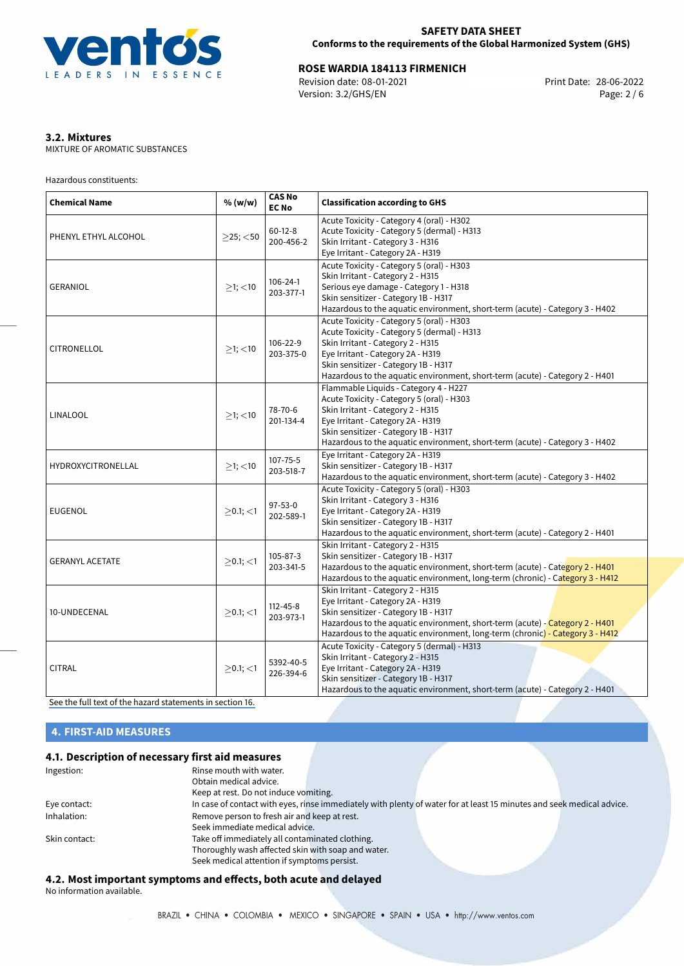

# **ROSE WARDIA 184113 FIRMENICH**<br>Revision date: 08-01-2021 **Revision date: 08-06-2022**

Revision date: 08-01-2021 Version: 3.2/GHS/EN Page: 2 / 6

## **3.2. Mixtures**

MIXTURE OF AROMATIC SUBSTANCES

Hazardous constituents:

| <b>Chemical Name</b>   | % (w/w)        | <b>CAS No</b><br><b>EC No</b> | <b>Classification according to GHS</b>                                                                                                                                                                                                                                                     |  |
|------------------------|----------------|-------------------------------|--------------------------------------------------------------------------------------------------------------------------------------------------------------------------------------------------------------------------------------------------------------------------------------------|--|
| PHENYL ETHYL ALCOHOL   | $>25$ ; $<$ 50 | $60-12-8$<br>200-456-2        | Acute Toxicity - Category 4 (oral) - H302<br>Acute Toxicity - Category 5 (dermal) - H313<br>Skin Irritant - Category 3 - H316<br>Eye Irritant - Category 2A - H319                                                                                                                         |  |
| <b>GERANIOL</b>        | $≥1;$ < 10     | $106 - 24 - 1$<br>203-377-1   | Acute Toxicity - Category 5 (oral) - H303<br>Skin Irritant - Category 2 - H315<br>Serious eye damage - Category 1 - H318<br>Skin sensitizer - Category 1B - H317<br>Hazardous to the aquatic environment, short-term (acute) - Category 3 - H402                                           |  |
| CITRONELLOL            | $\geq$ 1; <10  | 106-22-9<br>203-375-0         | Acute Toxicity - Category 5 (oral) - H303<br>Acute Toxicity - Category 5 (dermal) - H313<br>Skin Irritant - Category 2 - H315<br>Eye Irritant - Category 2A - H319<br>Skin sensitizer - Category 1B - H317<br>Hazardous to the aquatic environment, short-term (acute) - Category 2 - H401 |  |
| <b>LINALOOL</b>        | $>1$ ; <10     | 78-70-6<br>201-134-4          | Flammable Liquids - Category 4 - H227<br>Acute Toxicity - Category 5 (oral) - H303<br>Skin Irritant - Category 2 - H315<br>Eye Irritant - Category 2A - H319<br>Skin sensitizer - Category 1B - H317<br>Hazardous to the aquatic environment, short-term (acute) - Category 3 - H402       |  |
| HYDROXYCITRONELLAL     | $>1$ ; $<$ 10  | $107 - 75 - 5$<br>203-518-7   | Eye Irritant - Category 2A - H319<br>Skin sensitizer - Category 1B - H317<br>Hazardous to the aquatic environment, short-term (acute) - Category 3 - H402                                                                                                                                  |  |
| <b>EUGENOL</b>         | $>0.1$ ; $<$ 1 | $97 - 53 - 0$<br>202-589-1    | Acute Toxicity - Category 5 (oral) - H303<br>Skin Irritant - Category 3 - H316<br>Eye Irritant - Category 2A - H319<br>Skin sensitizer - Category 1B - H317<br>Hazardous to the aquatic environment, short-term (acute) - Category 2 - H401                                                |  |
| <b>GERANYL ACETATE</b> | $>0.1$ ; $<$ 1 | $105 - 87 - 3$<br>203-341-5   | Skin Irritant - Category 2 - H315<br>Skin sensitizer - Category 1B - H317<br>Hazardous to the aquatic environment, short-term (acute) - Category 2 - H401<br>Hazardous to the aquatic environment, long-term (chronic) - Category 3 - H412                                                 |  |
| 10-UNDECENAL           | $>0.1$ ; $<$ 1 | $112 - 45 - 8$<br>203-973-1   | Skin Irritant - Category 2 - H315<br>Eye Irritant - Category 2A - H319<br>Skin sensitizer - Category 1B - H317<br>Hazardous to the aquatic environment, short-term (acute) - Category 2 - H401<br>Hazardous to the aquatic environment, long-term (chronic) - Category 3 - H412            |  |
| <b>CITRAL</b>          | $>0.1$ ; <1    | 5392-40-5<br>226-394-6        | Acute Toxicity - Category 5 (dermal) - H313<br>Skin Irritant - Category 2 - H315<br>Eye Irritant - Category 2A - H319<br>Skin sensitizer - Category 1B - H317<br>Hazardous to the aquatic environment, short-term (acute) - Category 2 - H401                                              |  |

[See the full text of the hazard statements in section 16.](#page-4-0)

## **4. FIRST-AID MEASURES**

## **4.1. Description of necessary first aid measures**

| Ingestion:    | Rinse mouth with water.<br>Obtain medical advice.                                                                     |
|---------------|-----------------------------------------------------------------------------------------------------------------------|
|               | Keep at rest. Do not induce vomiting.                                                                                 |
| Eye contact:  | In case of contact with eyes, rinse immediately with plenty of water for at least 15 minutes and seek medical advice. |
| Inhalation:   | Remove person to fresh air and keep at rest.                                                                          |
|               | Seek immediate medical advice.                                                                                        |
| Skin contact: | Take off immediately all contaminated clothing.                                                                       |
|               | Thoroughly wash affected skin with soap and water.                                                                    |
|               | Seek medical attention if symptoms persist.                                                                           |

## **4.2. Most important symptoms and effects, both acute and delayed**

No information available.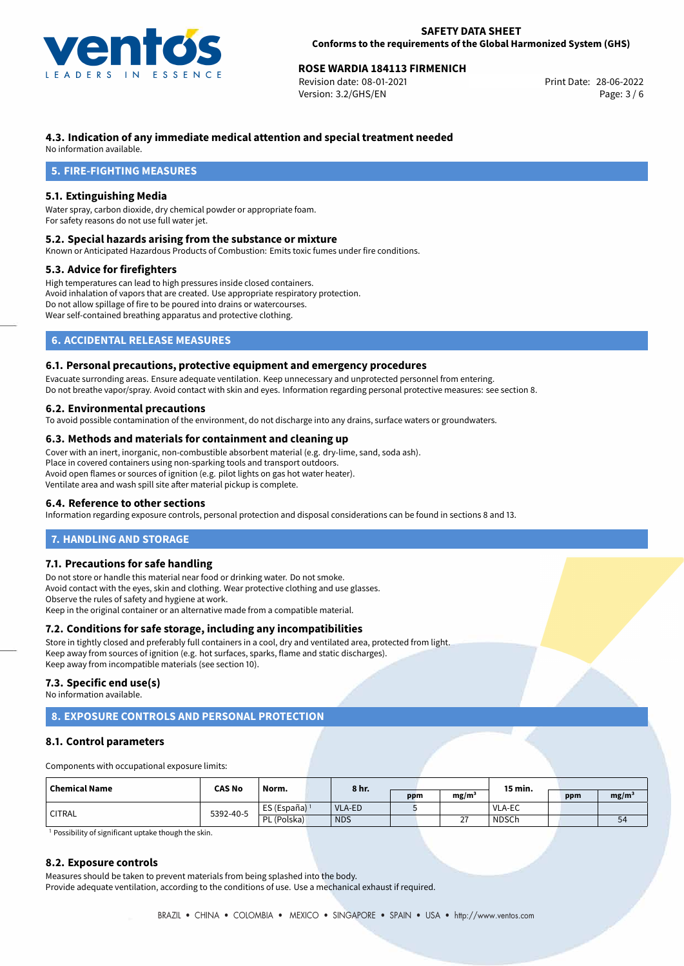

## **ROSE WARDIA 184113 FIRMENICH**<br>
Revision date: 08-01-2021<br> **Print Date: 28-06-2022**

Revision date: 08-01-2021 Version: 3.2/GHS/EN Page: 3 / 6

## **4.3. Indication of any immediate medical attention and special treatment needed**

No information available.

## **5. FIRE-FIGHTING MEASURES**

## **5.1. Extinguishing Media**

Water spray, carbon dioxide, dry chemical powder or appropriate foam. For safety reasons do not use full water jet.

#### **5.2. Special hazards arising from the substance or mixture**

Known or Anticipated Hazardous Products of Combustion: Emits toxic fumes under fire conditions.

#### **5.3. Advice for firefighters**

High temperatures can lead to high pressures inside closed containers. Avoid inhalation of vapors that are created. Use appropriate respiratory protection. Do not allow spillage of fire to be poured into drains or watercourses. Wear self-contained breathing apparatus and protective clothing.

## **6. ACCIDENTAL RELEASE MEASURES**

## **6.1. Personal precautions, protective equipment and emergency procedures**

Evacuate surronding areas. Ensure adequate ventilation. Keep unnecessary and unprotected personnel from entering. Do not breathe vapor/spray. Avoid contact with skin and eyes. Information regarding personal protective measures: see section 8.

## **6.2. Environmental precautions**

To avoid possible contamination of the environment, do not discharge into any drains, surface waters or groundwaters.

### **6.3. Methods and materials for containment and cleaning up**

Cover with an inert, inorganic, non-combustible absorbent material (e.g. dry-lime, sand, soda ash). Place in covered containers using non-sparking tools and transport outdoors. Avoid open flames or sources of ignition (e.g. pilot lights on gas hot water heater). Ventilate area and wash spill site after material pickup is complete.

#### **6.4. Reference to other sections**

Information regarding exposure controls, personal protection and disposal considerations can be found in sections 8 and 13.

## **7. HANDLING AND STORAGE**

#### **7.1. Precautions for safe handling**

Do not store or handle this material near food or drinking water. Do not smoke. Avoid contact with the eyes, skin and clothing. Wear protective clothing and use glasses. Observe the rules of safety and hygiene at work. Keep in the original container or an alternative made from a compatible material.

## **7.2. Conditions for safe storage, including any incompatibilities**

Store in tightly closed and preferably full containers in a cool, dry and ventilated area, protected from light. Keep away from sources of ignition (e.g. hot surfaces, sparks, flame and static discharges). Keep away from incompatible materials (see section 10).

#### **7.3. Specific end use(s)**

No information available.

## **8. EXPOSURE CONTROLS AND PERSONAL PROTECTION**

## **8.1. Control parameters**

Components with occupational exposure limits:

| Chemical Name | <b>CAS No</b> | Norm.                    | 8 hr.      |     |  |                    | 15 min.      |     |                   |
|---------------|---------------|--------------------------|------------|-----|--|--------------------|--------------|-----|-------------------|
|               |               |                          |            | ppm |  | mg/m               |              | ppm | mg/m <sup>3</sup> |
| <b>CITRAL</b> | 5392-40-5     | ES (España) <sup>1</sup> | VLA-ED     |     |  |                    | VLA-EC       |     |                   |
|               |               | PL (Polska)              | <b>NDS</b> |     |  | $\sim$<br><u>_</u> | <b>NDSCh</b> |     | 54                |

<sup>1</sup> Possibility of significant uptake though the skin.

#### **8.2. Exposure controls**

Measures should be taken to prevent materials from being splashed into the body. Provide adequate ventilation, according to the conditions of use. Use a mechanical exhaust if required.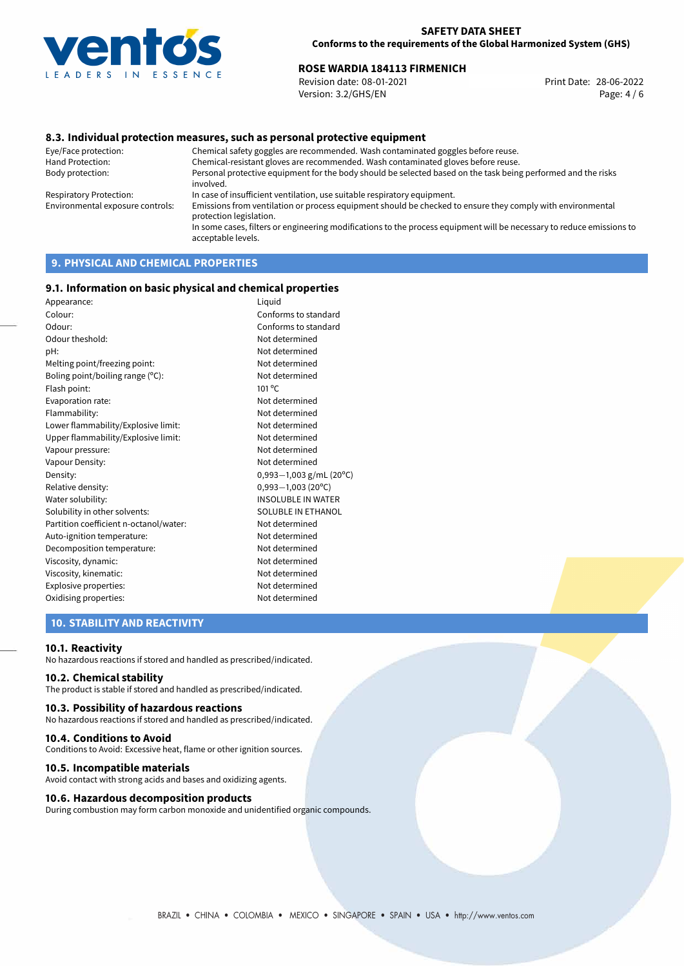

## **ROSE WARDIA 184113 FIRMENICH**<br>
Revision date: 08-01-2021<br> **Print Date: 28-06-2022**

Revision date: 08-01-2021 Version: 3.2/GHS/EN Page: 4 / 6

## **8.3. Individual protection measures, such as personal protective equipment**

Eye/Face protection: Chemical safety goggles are recommended. Wash contaminated goggles before reuse. Chemical-resistant gloves are recommended. Wash contaminated gloves before reuse. Body protection: Personal protective equipment for the body should be selected based on the task being performed and the risks involved. Respiratory Protection: In case of insufficient ventilation, use suitable respiratory equipment. Environmental exposure controls: Emissions from ventilation or process equipment should be checked to ensure they comply with environmental protection legislation. In some cases, filters or engineering modifications to the process equipment will be necessary to reduce emissions to acceptable levels.

## **9. PHYSICAL AND CHEMICAL PROPERTIES**

#### **9.1. Information on basic physical and chemical properties**

| Appearance:                            | Liquid                    |
|----------------------------------------|---------------------------|
| Colour:                                | Conforms to standard      |
| Odour:                                 | Conforms to standard      |
| Odour theshold:                        | Not determined            |
| pH:                                    | Not determined            |
| Melting point/freezing point:          | Not determined            |
| Boling point/boiling range (°C):       | Not determined            |
| Flash point:                           | $101^{\circ}$ C           |
| Evaporation rate:                      | Not determined            |
| Flammability:                          | Not determined            |
| Lower flammability/Explosive limit:    | Not determined            |
| Upper flammability/Explosive limit:    | Not determined            |
| Vapour pressure:                       | Not determined            |
| Vapour Density:                        | Not determined            |
| Density:                               | 0,993-1,003 g/mL (20°C)   |
| Relative density:                      | $0,993 - 1,003$ (20°C)    |
| Water solubility:                      | <b>INSOLUBLE IN WATER</b> |
| Solubility in other solvents:          | SOLUBLE IN ETHANOL        |
| Partition coefficient n-octanol/water: | Not determined            |
| Auto-ignition temperature:             | Not determined            |
| Decomposition temperature:             | Not determined            |
| Viscosity, dynamic:                    | Not determined            |
| Viscosity, kinematic:                  | Not determined            |
| Explosive properties:                  | Not determined            |
| Oxidising properties:                  | Not determined            |

## **10. STABILITY AND REACTIVITY**

#### **10.1. Reactivity**

No hazardous reactions if stored and handled as prescribed/indicated.

## **10.2. Chemical stability**

The product is stable if stored and handled as prescribed/indicated.

#### **10.3. Possibility of hazardous reactions**

No hazardous reactions if stored and handled as prescribed/indicated.

#### **10.4. Conditions to Avoid**

Conditions to Avoid: Excessive heat, flame or other ignition sources.

#### **10.5. Incompatible materials**

Avoid contact with strong acids and bases and oxidizing agents.

#### **10.6. Hazardous decomposition products**

During combustion may form carbon monoxide and unidentified organic compounds.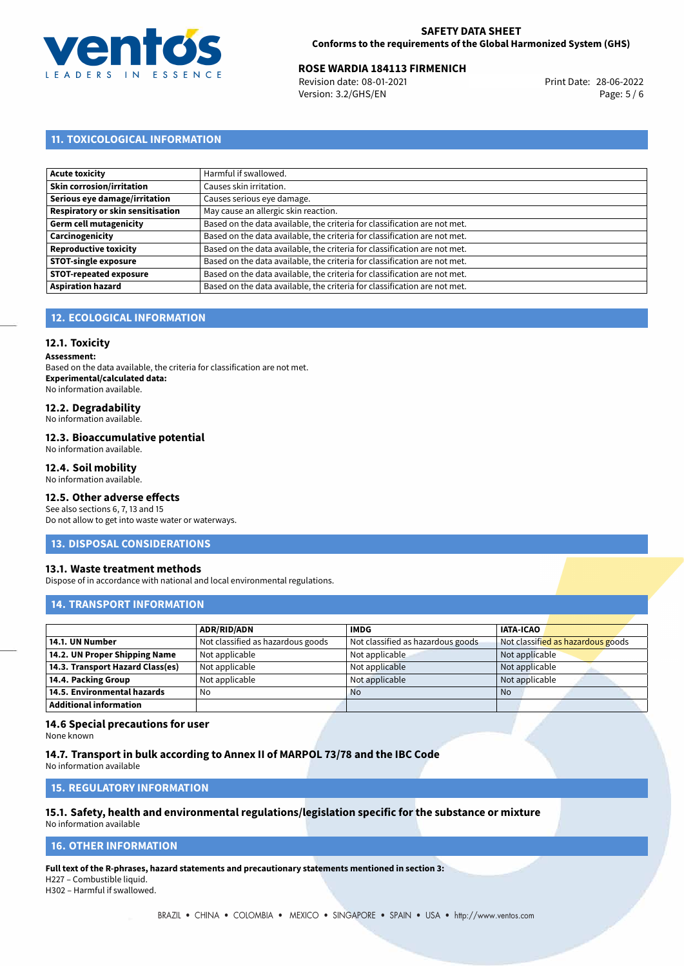

## **ROSE WARDIA 184113 FIRMENICH**<br>
Revision date: 08-01-2021<br> **Print Date: 28-06-2022**

Revision date: 08-01-2021 Version: 3.2/GHS/EN Page: 5 / 6

## **11. TOXICOLOGICAL INFORMATION**

| Acute toxicity                    | Harmful if swallowed.                                                     |
|-----------------------------------|---------------------------------------------------------------------------|
| Skin corrosion/irritation         | Causes skin irritation.                                                   |
| Serious eye damage/irritation     | Causes serious eye damage.                                                |
| Respiratory or skin sensitisation | May cause an allergic skin reaction.                                      |
| Germ cell mutagenicity            | Based on the data available, the criteria for classification are not met. |
| Carcinogenicity                   | Based on the data available, the criteria for classification are not met. |
| Reproductive toxicity             | Based on the data available, the criteria for classification are not met. |
| <b>STOT-single exposure</b>       | Based on the data available, the criteria for classification are not met. |
| <b>STOT-repeated exposure</b>     | Based on the data available, the criteria for classification are not met. |
| <b>Aspiration hazard</b>          | Based on the data available, the criteria for classification are not met. |

## **12. ECOLOGICAL INFORMATION**

## **12.1. Toxicity**

**Assessment:**

Based on the data available, the criteria for classification are not met. **Experimental/calculated data:** No information available.

## **12.2. Degradability**

No information available.

#### **12.3. Bioaccumulative potential**

No information available.

## **12.4. Soil mobility**

No information available.

## **12.5. Other adverse effects**

See also sections 6, 7, 13 and 15 Do not allow to get into waste water or waterways.

#### **13. DISPOSAL CONSIDERATIONS**

#### **13.1. Waste treatment methods**

Dispose of in accordance with national and local environmental regulations.

#### **14. TRANSPORT INFORMATION**

|                                  | <b>ADR/RID/ADN</b>                | <b>IMDG</b>                       | <b>IATA-ICAO</b>                  |
|----------------------------------|-----------------------------------|-----------------------------------|-----------------------------------|
| 14.1. UN Number                  | Not classified as hazardous goods | Not classified as hazardous goods | Not classified as hazardous goods |
| 14.2. UN Proper Shipping Name    | Not applicable                    | Not applicable                    | Not applicable                    |
| 14.3. Transport Hazard Class(es) | Not applicable                    | Not applicable                    | Not applicable                    |
| 14.4. Packing Group              | Not applicable                    | Not applicable                    | Not applicable                    |
| 14.5. Environmental hazards      | No                                | <b>No</b>                         | No                                |
| <b>Additional information</b>    |                                   |                                   |                                   |

#### **14.6 Special precautions for user**

None known

### **14.7. Transport in bulk according to Annex II of MARPOL 73/78 and the IBC Code**

No information available

## **15. REGULATORY INFORMATION**

#### **15.1. Safety, health and environmental regulations/legislation specific for the substance or mixture** No information available

## <span id="page-4-0"></span>**16. OTHER INFORMATION**

**Full text of the R-phrases, hazard statements and precautionary statements mentioned in section 3:** H227 – Combustible liquid.

H302 – Harmful if swallowed.